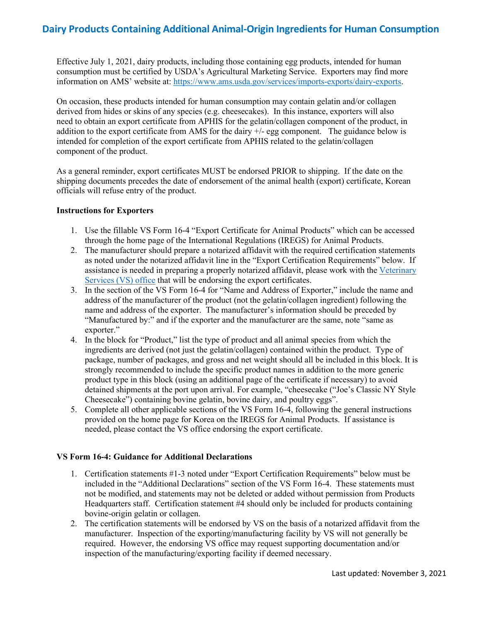## **Dairy Products Containing Additional Animal-Origin Ingredients for Human Consumption**

information on AMS' website at: [https://www.ams.usda.gov/services/imports-exports/dairy-exports.](https://www.ams.usda.gov/services/imports-exports/dairy-exports) Effective July 1, 2021, dairy products, including those containing egg products, intended for human consumption must be certified by USDA's Agricultural Marketing Service. Exporters may find more

 need to obtain an export certificate from APHIS for the gelatin/collagen component of the product, in addition to the export certificate from AMS for the dairy +/- egg component. The guidance below is component of the product. On occasion, these products intended for human consumption may contain gelatin and/or collagen derived from hides or skins of any species (e.g. cheesecakes). In this instance, exporters will also intended for completion of the export certificate from APHIS related to the gelatin/collagen

 As a general reminder, export certificates MUST be endorsed PRIOR to shipping. If the date on the shipping documents precedes the date of endorsement of the animal health (export) certificate, Korean officials will refuse entry of the product.

## **Instructions for Exporters**

- through the home page of the International Regulations (IREGS) for Animal Products. 1. Use the fillable VS Form 16-4 "Export Certificate for Animal Products" which can be accessed
- 2. The manufacturer should prepare a notarized affidavit with the required certification statements as noted under the notarized affidavit line in the "Export Certification Requirements" below. If [Services \(VS\) office](https://www.aphis.usda.gov/animal_health/contacts/field-operations-export-trade.pdfhttps:/www.aphis.usda.gov/animal_health/contacts/field-operations-export-trade.pdfhttps:/www.aphis.usda.gov/animal_health/contacts/field-operations-export-trade.pdf) that will be endorsing the export certificates. assistance is needed in preparing a properly notarized affidavit, please work with the [Veterinary](https://www.aphis.usda.gov/animal_health/contacts/field-operations-export-trade.pdfhttps:/www.aphis.usda.gov/animal_health/contacts/field-operations-export-trade.pdfhttps:/www.aphis.usda.gov/animal_health/contacts/field-operations-export-trade.pdf)
- 3. In the section of the VS Form 16-4 for "Name and Address of Exporter," include the name and address of the manufacturer of the product (not the gelatin/collagen ingredient) following the name and address of the exporter. The manufacturer's information should be preceded by "Manufactured by:" and if the exporter and the manufacturer are the same, note "same as exporter."
- strongly recommended to include the specific product names in addition to the more generic 4. In the block for "Product," list the type of product and all animal species from which the ingredients are derived (not just the gelatin/collagen) contained within the product. Type of package, number of packages, and gross and net weight should all be included in this block. It is product type in this block (using an additional page of the certificate if necessary) to avoid detained shipments at the port upon arrival. For example, "cheesecake ("Joe's Classic NY Style Cheesecake") containing bovine gelatin, bovine dairy, and poultry eggs".
- 5. Complete all other applicable sections of the VS Form 16-4, following the general instructions provided on the home page for Korea on the IREGS for Animal Products. If assistance is needed, please contact the VS office endorsing the export certificate.

## **VS Form 16-4: Guidance for Additional Declarations**

- included in the "Additional Declarations" section of the VS Form 16-4. These statements must bovine-origin gelatin or collagen. 1. Certification statements #1-3 noted under "Export Certification Requirements" below must be not be modified, and statements may not be deleted or added without permission from Products Headquarters staff. Certification statement #4 should only be included for products containing
- inspection of the manufacturing/exporting facility if deemed necessary. 2. The certification statements will be endorsed by VS on the basis of a notarized affidavit from the manufacturer. Inspection of the exporting/manufacturing facility by VS will not generally be required. However, the endorsing VS office may request supporting documentation and/or